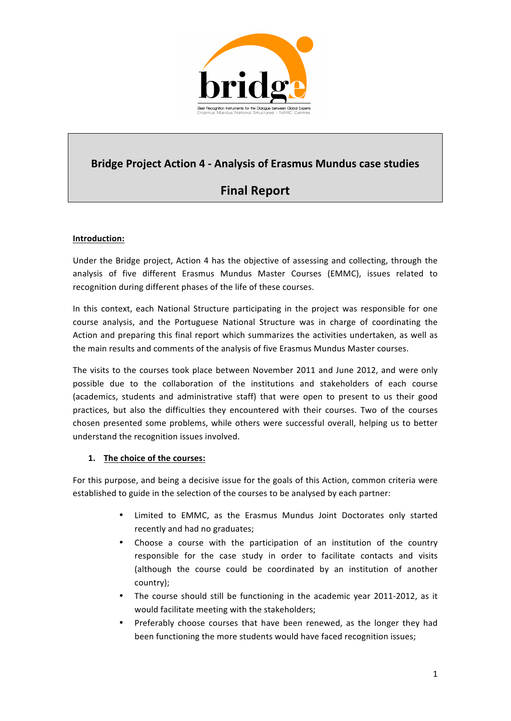

## **Bridge Project Action 4 - Analysis of Erasmus Mundus case studies**

# **Final Report**

### **Introduction:**

Under the Bridge project, Action 4 has the objective of assessing and collecting, through the analysis of five different Erasmus Mundus Master Courses (EMMC), issues related to recognition during different phases of the life of these courses.

In this context, each National Structure participating in the project was responsible for one course analysis, and the Portuguese National Structure was in charge of coordinating the Action and preparing this final report which summarizes the activities undertaken, as well as the main results and comments of the analysis of five Erasmus Mundus Master courses.

The visits to the courses took place between November 2011 and June 2012, and were only possible due to the collaboration of the institutions and stakeholders of each course (academics, students and administrative staff) that were open to present to us their good practices, but also the difficulties they encountered with their courses. Two of the courses chosen presented some problems, while others were successful overall, helping us to better understand the recognition issues involved.

#### **1.** The choice of the courses:

For this purpose, and being a decisive issue for the goals of this Action, common criteria were established to guide in the selection of the courses to be analysed by each partner:

- Limited to EMMC, as the Erasmus Mundus Joint Doctorates only started recently and had no graduates;
- Choose a course with the participation of an institution of the country responsible for the case study in order to facilitate contacts and visits (although the course could be coordinated by an institution of another country);
- The course should still be functioning in the academic year 2011-2012, as it would facilitate meeting with the stakeholders;
- Preferably choose courses that have been renewed, as the longer they had been functioning the more students would have faced recognition issues;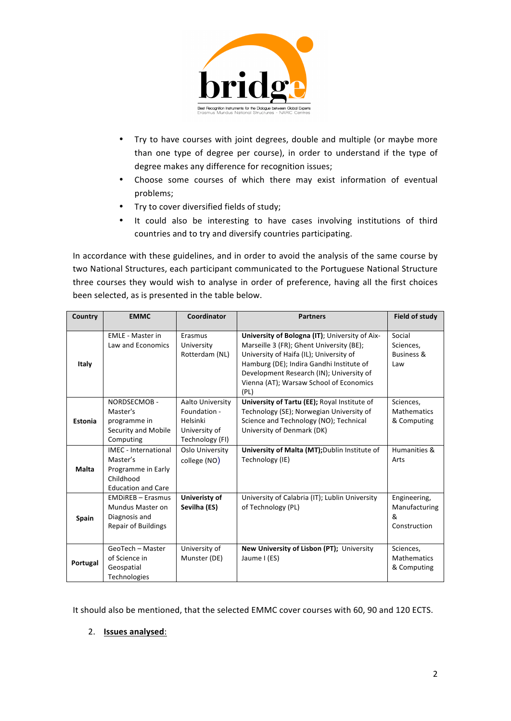

- Try to have courses with joint degrees, double and multiple (or maybe more than one type of degree per course), in order to understand if the type of degree makes any difference for recognition issues;
- Choose some courses of which there may exist information of eventual problems;
- Try to cover diversified fields of study;
- It could also be interesting to have cases involving institutions of third countries and to try and diversify countries participating.

In accordance with these guidelines, and in order to avoid the analysis of the same course by two National Structures, each participant communicated to the Portuguese National Structure three courses they would wish to analyse in order of preference, having all the first choices been selected, as is presented in the table below.

| Country  | <b>EMMC</b>                                                                                             | Coordinator                                                                      | <b>Partners</b>                                                                                                                                                                                                                                                                  | <b>Field of study</b>                               |
|----------|---------------------------------------------------------------------------------------------------------|----------------------------------------------------------------------------------|----------------------------------------------------------------------------------------------------------------------------------------------------------------------------------------------------------------------------------------------------------------------------------|-----------------------------------------------------|
| Italy    | <b>EMLE - Master in</b><br>Law and Economics                                                            | Erasmus<br>University<br>Rotterdam (NL)                                          | University of Bologna (IT); University of Aix-<br>Marseille 3 (FR); Ghent University (BE);<br>University of Haifa (IL); University of<br>Hamburg (DE); Indira Gandhi Institute of<br>Development Research (IN); University of<br>Vienna (AT); Warsaw School of Economics<br>(PL) | Social<br>Sciences,<br><b>Business &amp;</b><br>Law |
| Estonia  | NORDSECMOB-<br>Master's<br>programme in<br>Security and Mobile<br>Computing                             | Aalto University<br>Foundation -<br>Helsinki<br>University of<br>Technology (FI) | University of Tartu (EE); Royal Institute of<br>Technology (SE); Norwegian University of<br>Science and Technology (NO); Technical<br>University of Denmark (DK)                                                                                                                 | Sciences,<br><b>Mathematics</b><br>& Computing      |
| Malta    | <b>IMEC</b> - International<br>Master's<br>Programme in Early<br>Childhood<br><b>Education and Care</b> | Oslo University<br>college (NO)                                                  | University of Malta (MT); Dublin Institute of<br>Technology (IE)                                                                                                                                                                                                                 | Humanities &<br>Arts                                |
| Spain    | <b>EMDIREB - Erasmus</b><br>Mundus Master on<br>Diagnosis and<br><b>Repair of Buildings</b>             | Univeristy of<br>Sevilha (ES)                                                    | University of Calabria (IT); Lublin University<br>of Technology (PL)                                                                                                                                                                                                             | Engineering,<br>Manufacturing<br>&<br>Construction  |
| Portugal | GeoTech - Master<br>of Science in<br>Geospatial<br>Technologies                                         | University of<br>Munster (DE)                                                    | New University of Lisbon (PT); University<br>Jaume I (ES)                                                                                                                                                                                                                        | Sciences,<br><b>Mathematics</b><br>& Computing      |

It should also be mentioned, that the selected EMMC cover courses with 60, 90 and 120 ECTS.

#### 2. **Issues analysed:**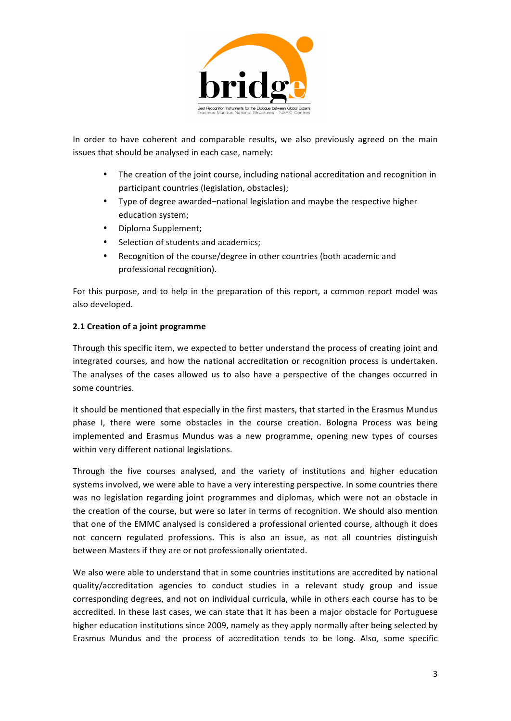

In order to have coherent and comparable results, we also previously agreed on the main issues that should be analysed in each case, namely:

- The creation of the joint course, including national accreditation and recognition in participant countries (legislation, obstacles);
- Type of degree awarded–national legislation and maybe the respective higher education system;
- Diploma Supplement;
- Selection of students and academics;
- Recognition of the course/degree in other countries (both academic and professional recognition).

For this purpose, and to help in the preparation of this report, a common report model was also developed.

#### **2.1 Creation of a joint programme**

Through this specific item, we expected to better understand the process of creating joint and integrated courses, and how the national accreditation or recognition process is undertaken. The analyses of the cases allowed us to also have a perspective of the changes occurred in some countries.

It should be mentioned that especially in the first masters, that started in the Erasmus Mundus phase I, there were some obstacles in the course creation. Bologna Process was being implemented and Erasmus Mundus was a new programme, opening new types of courses within very different national legislations.

Through the five courses analysed, and the variety of institutions and higher education systems involved, we were able to have a very interesting perspective. In some countries there was no legislation regarding joint programmes and diplomas, which were not an obstacle in the creation of the course, but were so later in terms of recognition. We should also mention that one of the EMMC analysed is considered a professional oriented course, although it does not concern regulated professions. This is also an issue, as not all countries distinguish between Masters if they are or not professionally orientated.

We also were able to understand that in some countries institutions are accredited by national quality/accreditation agencies to conduct studies in a relevant study group and issue corresponding degrees, and not on individual curricula, while in others each course has to be accredited. In these last cases, we can state that it has been a major obstacle for Portuguese higher education institutions since 2009, namely as they apply normally after being selected by Erasmus Mundus and the process of accreditation tends to be long. Also, some specific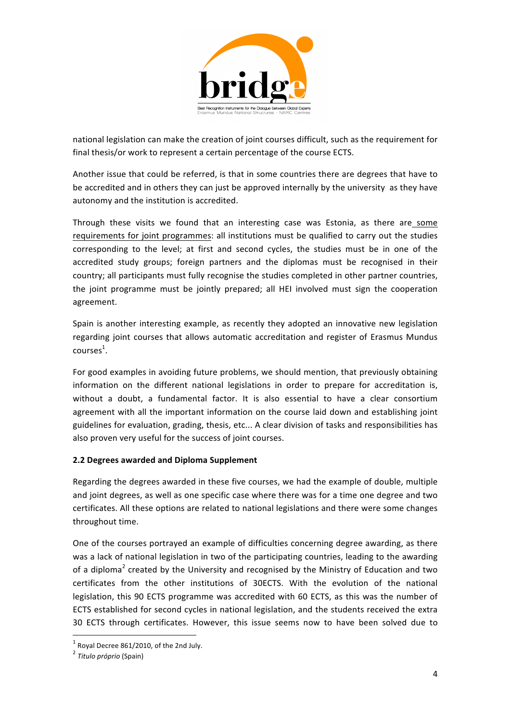

national legislation can make the creation of joint courses difficult, such as the requirement for final thesis/or work to represent a certain percentage of the course ECTS.

Another issue that could be referred, is that in some countries there are degrees that have to be accredited and in others they can just be approved internally by the university as they have autonomy and the institution is accredited.

Through these visits we found that an interesting case was Estonia, as there are some requirements for joint programmes: all institutions must be qualified to carry out the studies corresponding to the level; at first and second cycles, the studies must be in one of the accredited study groups; foreign partners and the diplomas must be recognised in their country; all participants must fully recognise the studies completed in other partner countries, the joint programme must be jointly prepared; all HEI involved must sign the cooperation agreement.

Spain is another interesting example, as recently they adopted an innovative new legislation regarding joint courses that allows automatic accreditation and register of Erasmus Mundus  $\text{course}^1$ .

For good examples in avoiding future problems, we should mention, that previously obtaining information on the different national legislations in order to prepare for accreditation is, without a doubt, a fundamental factor. It is also essential to have a clear consortium agreement with all the important information on the course laid down and establishing joint guidelines for evaluation, grading, thesis, etc... A clear division of tasks and responsibilities has also proven very useful for the success of joint courses.

#### **2.2 Degrees awarded and Diploma Supplement**

Regarding the degrees awarded in these five courses, we had the example of double, multiple and joint degrees, as well as one specific case where there was for a time one degree and two certificates. All these options are related to national legislations and there were some changes throughout time. 

One of the courses portrayed an example of difficulties concerning degree awarding, as there was a lack of national legislation in two of the participating countries, leading to the awarding of a diploma<sup>2</sup> created by the University and recognised by the Ministry of Education and two certificates from the other institutions of 30ECTS. With the evolution of the national legislation, this 90 ECTS programme was accredited with 60 ECTS, as this was the number of ECTS established for second cycles in national legislation, and the students received the extra 30 ECTS through certificates. However, this issue seems now to have been solved due to

<sup>&</sup>lt;u> 1989 - Jan Samuel Barbara, margaret e</u>  $1$  Royal Decree 861/2010, of the 2nd July.

<sup>&</sup>lt;sup>2</sup> Titulo próprio (Spain)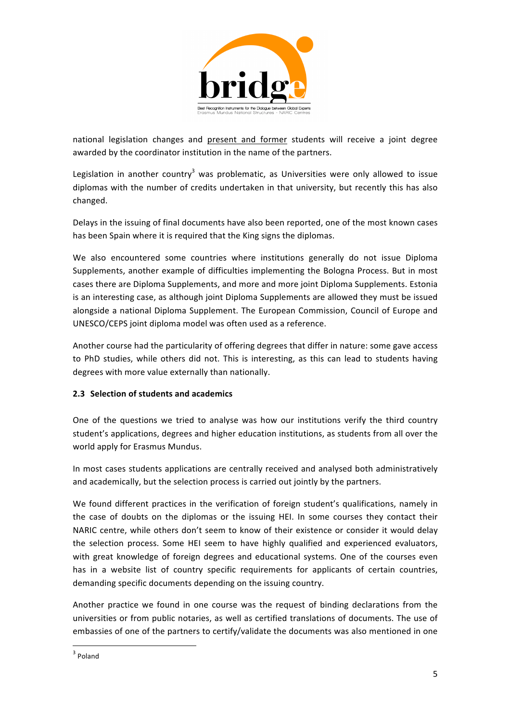

national legislation changes and present and former students will receive a joint degree awarded by the coordinator institution in the name of the partners.

Legislation in another country<sup>3</sup> was problematic, as Universities were only allowed to issue diplomas with the number of credits undertaken in that university, but recently this has also changed.

Delays in the issuing of final documents have also been reported, one of the most known cases has been Spain where it is required that the King signs the diplomas.

We also encountered some countries where institutions generally do not issue Diploma Supplements, another example of difficulties implementing the Bologna Process. But in most cases there are Diploma Supplements, and more and more joint Diploma Supplements. Estonia is an interesting case, as although joint Diploma Supplements are allowed they must be issued alongside a national Diploma Supplement. The European Commission, Council of Europe and UNESCO/CEPS joint diploma model was often used as a reference.

Another course had the particularity of offering degrees that differ in nature: some gave access to PhD studies, while others did not. This is interesting, as this can lead to students having degrees with more value externally than nationally.

#### **2.3 Selection of students and academics**

One of the questions we tried to analyse was how our institutions verify the third country student's applications, degrees and higher education institutions, as students from all over the world apply for Erasmus Mundus.

In most cases students applications are centrally received and analysed both administratively and academically, but the selection process is carried out jointly by the partners.

We found different practices in the verification of foreign student's qualifications, namely in the case of doubts on the diplomas or the issuing HEI. In some courses they contact their NARIC centre, while others don't seem to know of their existence or consider it would delay the selection process. Some HEI seem to have highly qualified and experienced evaluators, with great knowledge of foreign degrees and educational systems. One of the courses even has in a website list of country specific requirements for applicants of certain countries, demanding specific documents depending on the issuing country.

Another practice we found in one course was the request of binding declarations from the universities or from public notaries, as well as certified translations of documents. The use of embassies of one of the partners to certify/validate the documents was also mentioned in one

<u> 1989 - Jan Samuel Barbara, margaret e</u>

<sup>3</sup> Poland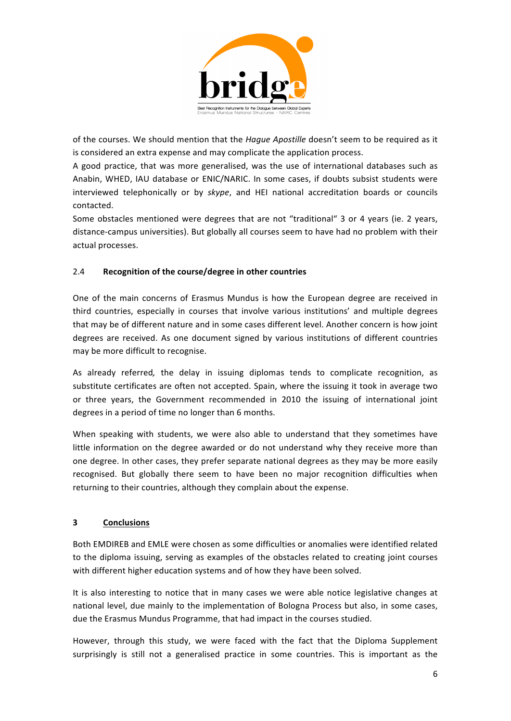

of the courses. We should mention that the *Haque Apostille* doesn't seem to be required as it is considered an extra expense and may complicate the application process.

A good practice, that was more generalised, was the use of international databases such as Anabin, WHED, IAU database or ENIC/NARIC. In some cases, if doubts subsist students were interviewed telephonically or by *skype*, and HEI national accreditation boards or councils contacted. 

Some obstacles mentioned were degrees that are not "traditional" 3 or 4 years (ie. 2 years, distance-campus universities). But globally all courses seem to have had no problem with their actual processes.

#### 2.4 Recognition of the course/degree in other countries

One of the main concerns of Erasmus Mundus is how the European degree are received in third countries, especially in courses that involve various institutions' and multiple degrees that may be of different nature and in some cases different level. Another concern is how joint degrees are received. As one document signed by various institutions of different countries may be more difficult to recognise.

As already referred, the delay in issuing diplomas tends to complicate recognition, as substitute certificates are often not accepted. Spain, where the issuing it took in average two or three years, the Government recommended in 2010 the issuing of international joint degrees in a period of time no longer than 6 months.

When speaking with students, we were also able to understand that they sometimes have little information on the degree awarded or do not understand why they receive more than one degree. In other cases, they prefer separate national degrees as they may be more easily recognised. But globally there seem to have been no major recognition difficulties when returning to their countries, although they complain about the expense.

#### **3 Conclusions**

Both EMDIREB and EMLE were chosen as some difficulties or anomalies were identified related to the diploma issuing, serving as examples of the obstacles related to creating joint courses with different higher education systems and of how they have been solved.

It is also interesting to notice that in many cases we were able notice legislative changes at national level, due mainly to the implementation of Bologna Process but also, in some cases, due the Erasmus Mundus Programme, that had impact in the courses studied.

However, through this study, we were faced with the fact that the Diploma Supplement surprisingly is still not a generalised practice in some countries. This is important as the